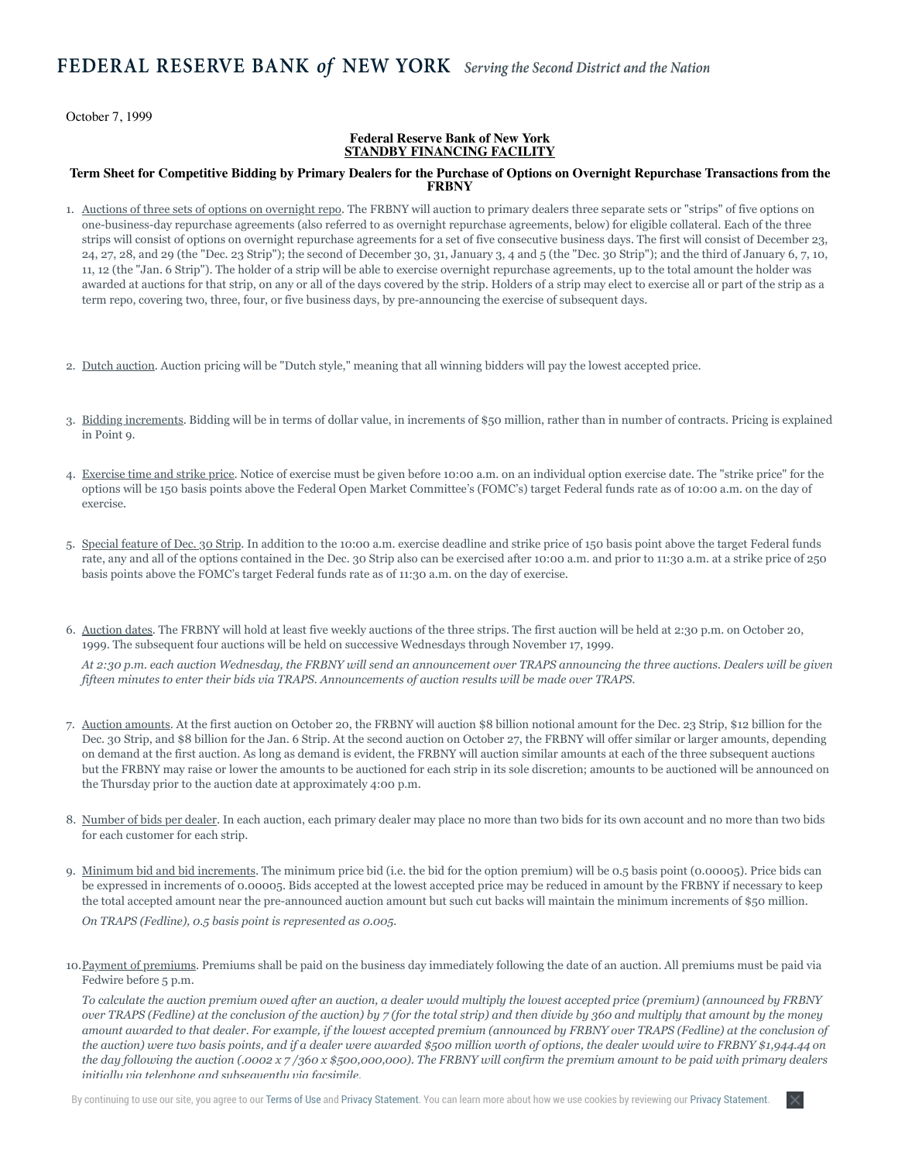October 7, 1999

## **Federal Reserve Bank of New York STANDBY FINANCING FACILITY**

## **Term Sheet for Competitive Bidding by Primary Dealers for the Purchase of Options on Overnight Repurchase Transactions from the FRBNY**

- 1. Auctions of three sets of options on overnight repo. The FRBNY will auction to primary dealers three separate sets or "strips" of five options on one-business-day repurchase agreements (also referred to as overnight repurchase agreements, below) for eligible collateral. Each of the three strips will consist of options on overnight repurchase agreements for a set of five consecutive business days. The first will consist of December 23, 24, 27, 28, and 29 (the "Dec. 23 Strip"); the second of December 30, 31, January 3, 4 and 5 (the "Dec. 30 Strip"); and the third of January 6, 7, 10, 11, 12 (the "Jan. 6 Strip"). The holder of a strip will be able to exercise overnight repurchase agreements, up to the total amount the holder was awarded at auctions for that strip, on any or all of the days covered by the strip. Holders of a strip may elect to exercise all or part of the strip as a term repo, covering two, three, four, or five business days, by pre-announcing the exercise of subsequent days.
- 2. Dutch auction. Auction pricing will be "Dutch style," meaning that all winning bidders will pay the lowest accepted price.
- 3. Bidding increments. Bidding will be in terms of dollar value, in increments of \$50 million, rather than in number of contracts. Pricing is explained in Point 9.
- 4. Exercise time and strike price. Notice of exercise must be given before 10:00 a.m. on an individual option exercise date. The "strike price" for the options will be 150 basis points above the Federal Open Market Committee's (FOMC's) target Federal funds rate as of 10:00 a.m. on the day of exercise.
- 5. Special feature of Dec. 30 Strip. In addition to the 10:00 a.m. exercise deadline and strike price of 150 basis point above the target Federal funds rate, any and all of the options contained in the Dec. 30 Strip also can be exercised after 10:00 a.m. and prior to 11:30 a.m. at a strike price of 250 basis points above the FOMC's target Federal funds rate as of 11:30 a.m. on the day of exercise.
- 6. Auction dates. The FRBNY will hold at least five weekly auctions of the three strips. The first auction will be held at 2:30 p.m. on October 20, 1999. The subsequent four auctions will be held on successive Wednesdays through November 17, 1999.

*At 2:30 p.m. each auction Wednesday, the FRBNY will send an announcement over TRAPS announcing the three auctions. Dealers will be given fifteen minutes to enter their bids via TRAPS. Announcements of auction results will be made over TRAPS.*

- 7. Auction amounts. At the first auction on October 20, the FRBNY will auction \$8 billion notional amount for the Dec. 23 Strip, \$12 billion for the Dec. 30 Strip, and \$8 billion for the Jan. 6 Strip. At the second auction on October 27, the FRBNY will offer similar or larger amounts, depending on demand at the first auction. As long as demand is evident, the FRBNY will auction similar amounts at each of the three subsequent auctions but the FRBNY may raise or lower the amounts to be auctioned for each strip in its sole discretion; amounts to be auctioned will be announced on the Thursday prior to the auction date at approximately 4:00 p.m.
- 8. Number of bids per dealer. In each auction, each primary dealer may place no more than two bids for its own account and no more than two bids for each customer for each strip.
- 9. Minimum bid and bid increments. The minimum price bid (i.e. the bid for the option premium) will be 0.5 basis point (0.00005). Price bids can be expressed in increments of 0.00005. Bids accepted at the lowest accepted price may be reduced in amount by the FRBNY if necessary to keep the total accepted amount near the pre-announced auction amount but such cut backs will maintain the minimum increments of \$50 million.

*On TRAPS (Fedline), 0.5 basis point is represented as 0.005.*

10. Payment of premiums. Premiums shall be paid on the business day immediately following the date of an auction. All premiums must be paid via Fedwire before 5 p.m.

*To calculate the auction premium owed after an auction, a dealer would multiply the lowest accepted price (premium) (announced by FRBNY over TRAPS (Fedline) at the conclusion of the auction) by 7 (for the total strip) and then divide by 360 and multiply that amount by the money amount awarded to that dealer. For example, if the lowest accepted premium (announced by FRBNY over TRAPS (Fedline) at the conclusion of the auction) were two basis points, and if a dealer were awarded \$500 million worth of options, the dealer would wire to FRBNY \$1,944.44 on the day following the auction (.0002 x 7 /360 x \$500,000,000). The FRBNY will confirm the premium amount to be paid with primary dealers initially via telephone and subsequently via facsimile.*